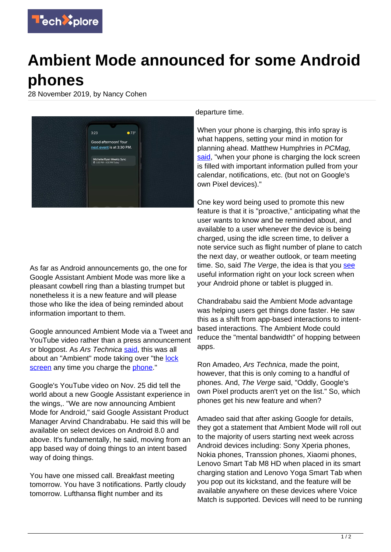

## **Ambient Mode announced for some Android phones**

28 November 2019, by Nancy Cohen



As far as Android announcements go, the one for Google Assistant Ambient Mode was more like a pleasant cowbell ring than a blasting trumpet but nonetheless it is a new feature and will please those who like the idea of being reminded about information important to them.

Google announced Ambient Mode via a Tweet and YouTube video rather than a press announcement or blogpost. As Ars Technica [said](https://arstechnica.com/gadgets/2019/11/androids-new-ambient-mode-turns-a-charging-phone-into-a-smart-display/?comments=1&sort=high#comments), this was all about an "Ambient" mode taking over "the [lock](https://techxplore.com/tags/lock+screen/) [screen](https://techxplore.com/tags/lock+screen/) any time you charge the [phone](https://techxplore.com/tags/phone/)."

Google's YouTube video on Nov. 25 did tell the world about a new Google Assistant experience in the wings,. "We are now announcing Ambient Mode for Android," said Google Assistant Product Manager Arvind Chandrababu. He said this will be available on select devices on Android 8.0 and above. It's fundamentally, he said, moving from an app based way of doing things to an intent based way of doing things.

You have one missed call. Breakfast meeting tomorrow. You have 3 notifications. Partly cloudy tomorrow. Lufthansa flight number and its

departure time.

When your phone is charging, this info spray is what happens, setting your mind in motion for planning ahead. Matthew Humphries in PCMag, [said,](https://www.pcmag.com/news/372235/some-android-devices-get-a-lock-screen-ambient-mode) "when your phone is charging the lock screen is filled with important information pulled from your calendar, notifications, etc. (but not on Google's own Pixel devices)."

One key word being used to promote this new feature is that it is "proactive," anticipating what the user wants to know and be reminded about, and available to a user whenever the device is being charged, using the idle screen time, to deliver a note service such as flight number of plane to catch the next day, or weather outlook, or team meeting time. So, said The Verge, the idea is that you [see](https://www.theverge.com/2019/11/25/20982742/google-assistant-ambient-mode-new-video-lenovo-nokia-xiaomi) useful information right on your lock screen when your Android phone or tablet is plugged in.

Chandrababu said the Ambient Mode advantage was helping users get things done faster. He saw this as a shift from app-based interactions to intentbased interactions. The Ambient Mode could reduce the "mental bandwidth" of hopping between apps.

Ron Amadeo, Ars Technica, made the point, however, that this is only coming to a handful of phones. And, The Verge said, "Oddly, Google's own Pixel products aren't yet on the list." So, which phones get his new feature and when?

Amadeo said that after asking Google for details, they got a statement that Ambient Mode will roll out to the majority of users starting next week across Android devices including: Sony Xperia phones, Nokia phones, Transsion phones, Xiaomi phones, Lenovo Smart Tab M8 HD when placed in its smart charging station and Lenovo Yoga Smart Tab when you pop out its kickstand, and the feature will be available anywhere on these devices where Voice Match is supported. Devices will need to be running